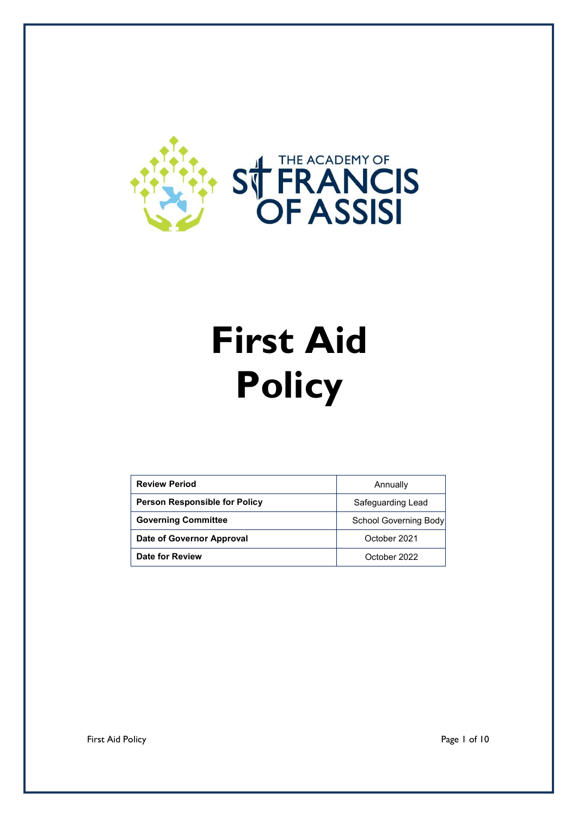

# **First Aid Policy**

| <b>Review Period</b>                 | Annually                     |
|--------------------------------------|------------------------------|
| <b>Person Responsible for Policy</b> | Safeguarding Lead            |
| <b>Governing Committee</b>           | <b>School Governing Body</b> |
| Date of Governor Approval            | October 2021                 |
| Date for Review                      | October 2022                 |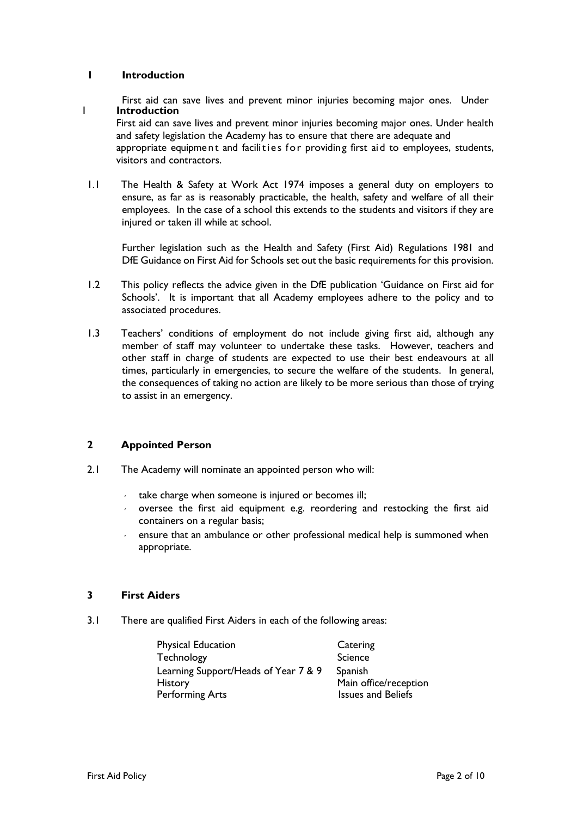## **1 Introduction**

First aid can save lives and prevent minor injuries becoming major ones. Under 1 **Introduction**

First aid can save lives and prevent minor injuries becoming major ones. Under health and safety legislation the Academy has to ensure that there are adequate and appropriate equipment and facilities for providing first aid to employees, students, visitors and contractors.

1.1 The Health & Safety at Work Act 1974 imposes a general duty on employers to ensure, as far as is reasonably practicable, the health, safety and welfare of all their employees. In the case of a school this extends to the students and visitors if they are injured or taken ill while at school.

Further legislation such as the Health and Safety (First Aid) Regulations 1981 and DfE Guidance on First Aid for Schools set out the basic requirements for this provision.

- 1.2 This policy reflects the advice given in the DfE publication 'Guidance on First aid for Schools'. It is important that all Academy employees adhere to the policy and to associated procedures.
- 1.3 Teachers' conditions of employment do not include giving first aid, although any member of staff may volunteer to undertake these tasks. However, teachers and other staff in charge of students are expected to use their best endeavours at all times, particularly in emergencies, to secure the welfare of the students. In general, the consequences of taking no action are likely to be more serious than those of trying to assist in an emergency.

## **2 Appointed Person**

- 2.1 The Academy will nominate an appointed person who will:
	- take charge when someone is injured or becomes ill;
	- oversee the first aid equipment e.g. reordering and restocking the first aid containers on a regular basis;
	- ensure that an ambulance or other professional medical help is summoned when appropriate.

## **3 First Aiders**

3.1 There are qualified First Aiders in each of the following areas:

| Physical Education                   | Catering                  |
|--------------------------------------|---------------------------|
| Technology                           | Science                   |
| Learning Support/Heads of Year 7 & 9 | Spanish                   |
| History                              | Main office/reception     |
| <b>Performing Arts</b>               | <b>Issues and Beliefs</b> |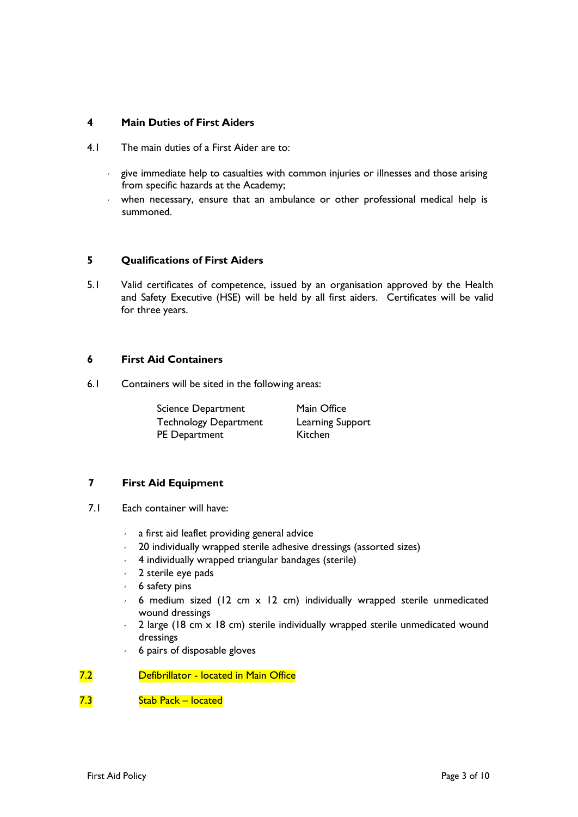## **4 Main Duties of First Aiders**

- 4.1 The main duties of a First Aider are to:
	- $\sim$  give immediate help to casualties with common injuries or illnesses and those arising from specific hazards at the Academy;
	- when necessary, ensure that an ambulance or other professional medical help is summoned.

## **5 Qualifications of First Aiders**

5.1 Valid certificates of competence, issued by an organisation approved by the Health and Safety Executive (HSE) will be held by all first aiders. Certificates will be valid for three years.

## **6 First Aid Containers**

6.1 Containers will be sited in the following areas:

| <b>Science Department</b>    | Main Office      |
|------------------------------|------------------|
| <b>Technology Department</b> | Learning Support |
| <b>PE</b> Department         | Kitchen          |

## **7 First Aid Equipment**

- 7.1 Each container will have:
	- a first aid leaflet providing general advice
	- 20 individually wrapped sterile adhesive dressings (assorted sizes)
	- 4 individually wrapped triangular bandages (sterile)
	- $\sim$  2 sterile eye pads
	- 6 safety pins
	- $6$  medium sized (12 cm  $\times$  12 cm) individually wrapped sterile unmedicated wound dressings
	- $2$  large (18 cm  $\times$  18 cm) sterile individually wrapped sterile unmedicated wound dressings
	- 6 pairs of disposable gloves

## 7.2 Defibrillator - located in Main Office

## 7.3 Stab Pack – located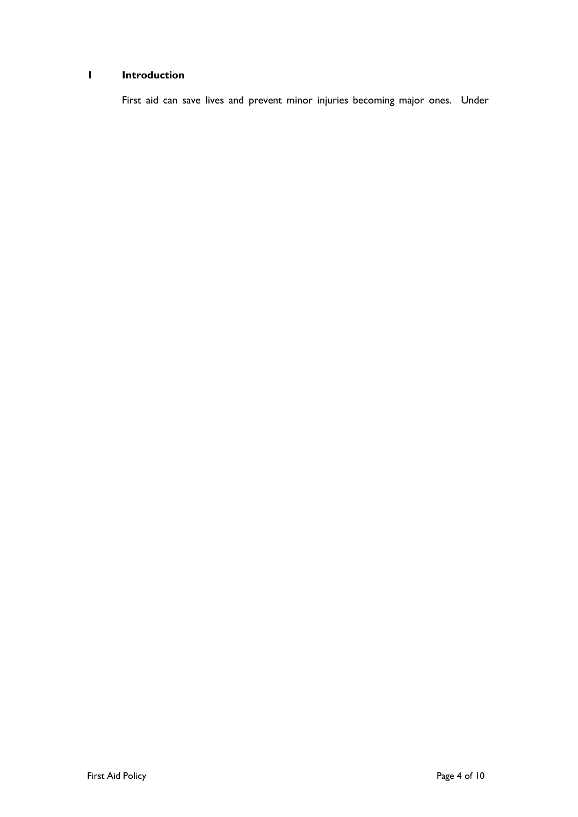# **1 Introduction**

First aid can save lives and prevent minor injuries becoming major ones. Under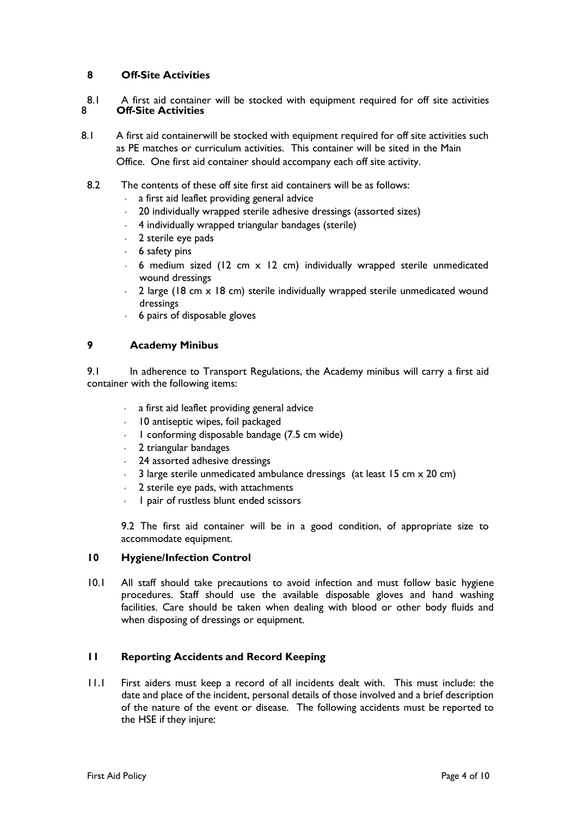## **8 Off-Site Activities**

8.1 A first aid container will be stocked with equipment required for off site activities<br>8 **Off-Site Activities Off-Site Activities** 

8.1 A first aid containerwill be stocked with equipment required for off site activities such as PE matches or curriculum activities. This container will be sited in the Main Office. One first aid container should accompany each off site activity.

- 8.2 The contents of these off site first aid containers will be as follows:
	- $\sim$  a first aid leaflet providing general advice
	- 20 individually wrapped sterile adhesive dressings (assorted sizes)
	- 4 individually wrapped triangular bandages (sterile)
	- $\sim$  2 sterile eye pads
	- $6$  safety pins
	- $6$  medium sized (12 cm x 12 cm) individually wrapped sterile unmedicated wound dressings
	- $2$  large (18 cm  $\times$  18 cm) sterile individually wrapped sterile unmedicated wound dressings
	- 6 pairs of disposable gloves

## **9 Academy Minibus**

9.1 In adherence to Transport Regulations, the Academy minibus will carry a first aid container with the following items:

- $\sim$  a first aid leaflet providing general advice
- $10$  antiseptic wipes, foil packaged
- $\cdot$  1 conforming disposable bandage (7.5 cm wide)
- $\sim$  2 triangular bandages
- 24 assorted adhesive dressings
- 3 large sterile unmedicated ambulance dressings (at least 15 cm x 20 cm)
- $\sim$  2 sterile eye pads, with attachments
- 1 pair of rustless blunt ended scissors

9.2 The first aid container will be in a good condition, of appropriate size to accommodate equipment.

## **10 Hygiene/Infection Control**

10.1 All staff should take precautions to avoid infection and must follow basic hygiene procedures. Staff should use the available disposable gloves and hand washing facilities. Care should be taken when dealing with blood or other body fluids and when disposing of dressings or equipment.

## **11 Reporting Accidents and Record Keeping**

11.1 First aiders must keep a record of all incidents dealt with. This must include: the date and place of the incident, personal details of those involved and a brief description of the nature of the event or disease. The following accidents must be reported to the HSE if they injure: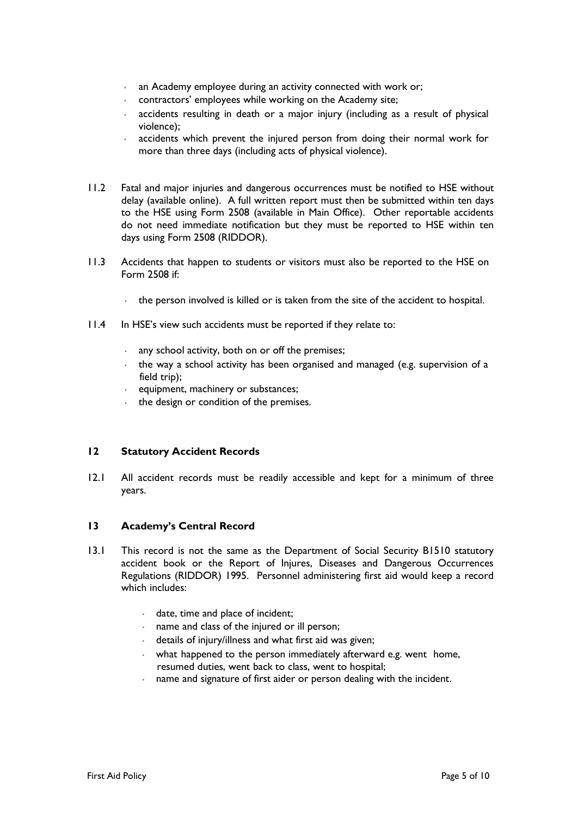- an Academy employee during an activity connected with work or;
- $\sim$  contractors' employees while working on the Academy site;
- accidents resulting in death or a major injury (including as a result of physical violence);
- accidents which prevent the injured person from doing their normal work for more than three days (including acts of physical violence).
- 11.2 Fatal and major injuries and dangerous occurrences must be notified to HSE without delay (available online). A full written report must then be submitted within ten days to the HSE using Form 2508 (available in Main Office). Other reportable accidents do not need immediate notification but they must be reported to HSE within ten days using Form 2508 (RIDDOR).
- 11.3 Accidents that happen to students or visitors must also be reported to the HSE on Form 2508 if:
	- $\cdot$  the person involved is killed or is taken from the site of the accident to hospital.
- 11.4 In HSE's view such accidents must be reported if they relate to:
	- any school activity, both on or off the premises;
	- the way a school activity has been organised and managed (e.g. supervision of a field trip);
	- $\cdot$  equipment, machinery or substances;
	- $\cdot$  the design or condition of the premises.

## **12 Statutory Accident Records**

12.1 All accident records must be readily accessible and kept for a minimum of three years.

## **13 Academy's Central Record**

- 13.1 This record is not the same as the Department of Social Security B1510 statutory accident book or the Report of Injures, Diseases and Dangerous Occurrences Regulations (RIDDOR) 1995. Personnel administering first aid would keep a record which includes:
	- $\cdot$  date, time and place of incident;
	- name and class of the injured or ill person;
	- details of injury/illness and what first aid was given;
	- what happened to the person immediately afterward e.g. went home, resumed duties, went back to class, went to hospital;
	- name and signature of first aider or person dealing with the incident.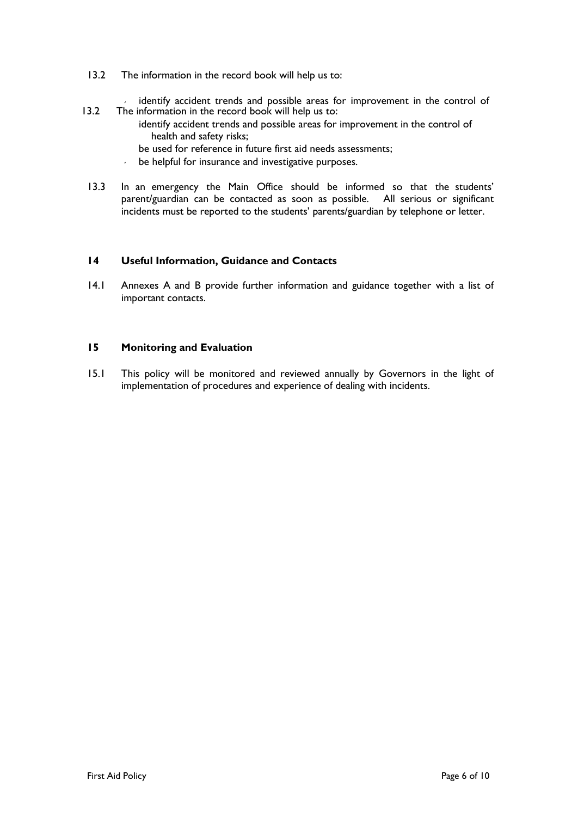- 13.2 The information in the record book will help us to:
- identify accident trends and possible areas for improvement in the control of 13.2 The information in the record book will help us to:
	- identify accident trends and possible areas for improvement in the control of health and safety risks;
	- be used for reference in future first aid needs assessments;
	- be helpful for insurance and investigative purposes.
- 13.3 In an emergency the Main Office should be informed so that the students' parent/guardian can be contacted as soon as possible. All serious or significant incidents must be reported to the students' parents/guardian by telephone or letter.

## **14 Useful Information, Guidance and Contacts**

14.1 Annexes A and B provide further information and guidance together with a list of important contacts.

## **15 Monitoring and Evaluation**

15.1 This policy will be monitored and reviewed annually by Governors in the light of implementation of procedures and experience of dealing with incidents.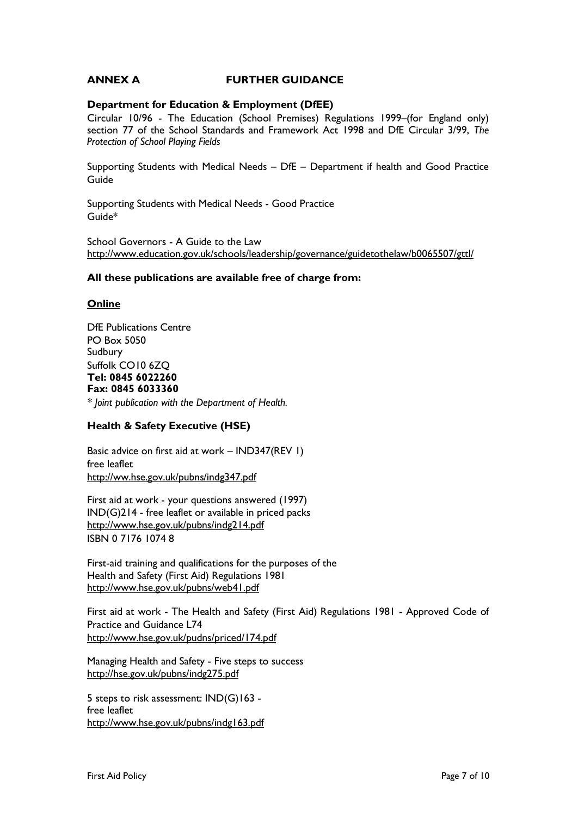## **ANNEX A FURTHER GUIDANCE**

## **Department for Education & Employment (DfEE)**

Circular 10/96 - The Education (School Premises) Regulations 1999–(for England only) section 77 of the School Standards and Framework Act 1998 and DfE Circular 3/99, *The Protection of School Playing Fields*

Supporting Students with Medical Needs – DfE – Department if health and Good Practice Guide

Supporting Students with Medical Needs - Good Practice Guide\*

School Governors - A Guide to the Law <http://www.education.gov.uk/schools/leadership/governance/guidetothelaw/b0065507/gttl/>

## **All these publications are available free of charge from:**

## **Online**

DfE Publications Centre PO Box 5050 Sudbury Suffolk CO10 6ZQ **Tel: 0845 6022260 Fax: 0845 6033360**

*\* Joint publication with the Department of Health.*

## **Health & Safety Executive (HSE)**

Basic advice on first aid at work – IND347(REV 1) free leaflet <http://ww.hse.gov.uk/pubns/indg347.pdf>

First aid at work - your questions answered (1997) IND(G)214 - free leaflet or available in priced packs <http://www.hse.gov.uk/pubns/indg214.pdf> ISBN 0 7176 1074 8

First-aid training and qualifications for the purposes of the Health and Safety (First Aid) Regulations 1981 <http://www.hse.gov.uk/pubns/web41.pdf>

First aid at work - The Health and Safety (First Aid) Regulations 1981 - Approved Code of Practice and Guidance L74 <http://www.hse.gov.uk/pudns/priced/174.pdf>

Managing Health and Safety - Five steps to success <http://hse.gov.uk/pubns/indg275.pdf>

5 steps to risk assessment: IND(G)163 free leaflet <http://www.hse.gov.uk/pubns/indg163.pdf>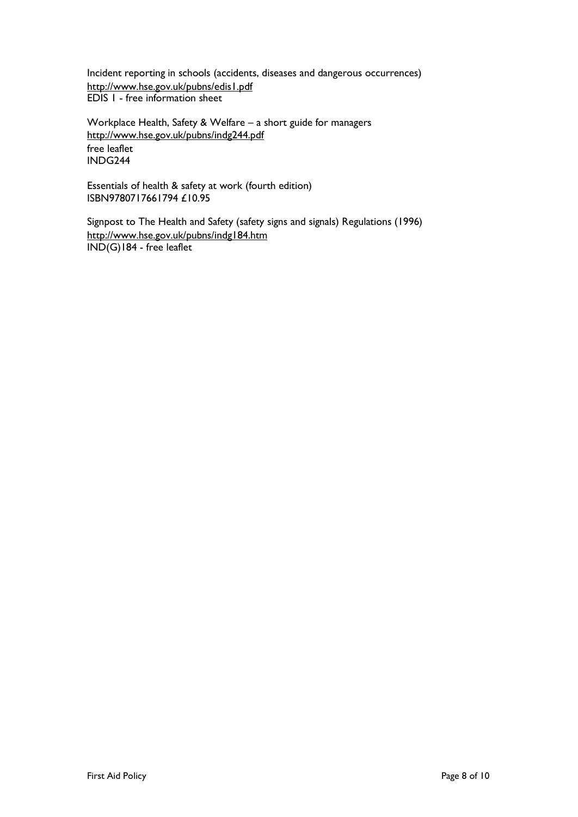Incident reporting in schools (accidents, diseases and dangerous occurrences) <http://www.hse.gov.uk/pubns/edis1.pdf> EDIS 1 - free information sheet

Workplace Health, Safety & Welfare – a short guide for managers <http://www.hse.gov.uk/pubns/indg244.pdf> free leaflet INDG244

Essentials of health & safety at work (fourth edition) ISBN9780717661794 £10.95

Signpost to The Health and Safety (safety signs and signals) Regulations (1996) <http://www.hse.gov.uk/pubns/indg184.htm> IND(G)184 - free leaflet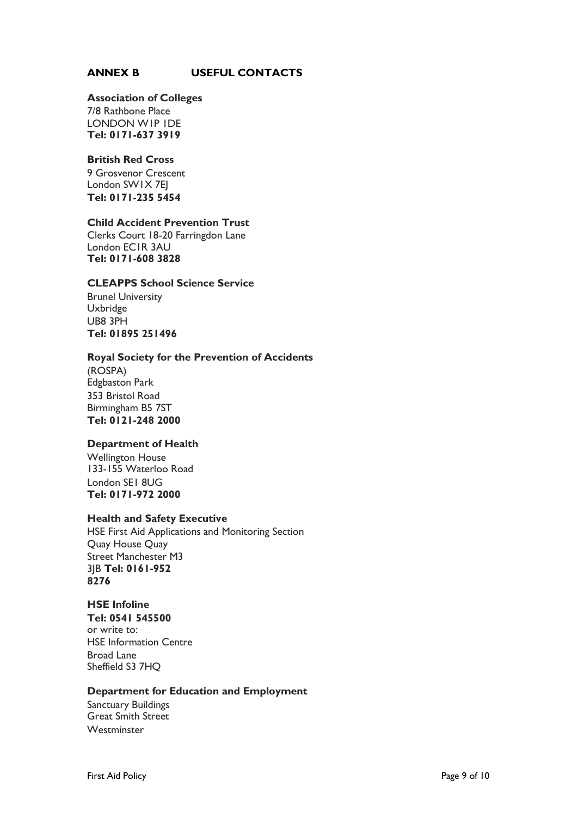## **ANNEX B USEFUL CONTACTS**

#### **Association of Colleges**

7/8 Rathbone Place LONDON W1P 1DE **Tel: 0171-637 3919**

#### **British Red Cross**

9 Grosvenor Crescent London SW1X 7EJ **Tel: 0171-235 5454**

#### **Child Accident Prevention Trust**

Clerks Court 18-20 Farringdon Lane London EC1R 3AU **Tel: 0171-608 3828**

## **CLEAPPS School Science Service**

Brunel University Uxbridge UB8 3PH **Tel: 01895 251496**

#### **Royal Society for the Prevention of Accidents**

(ROSPA) Edgbaston Park 353 Bristol Road Birmingham B5 7ST **Tel: 0121-248 2000**

## **Department of Health**

Wellington House 133-155 Waterloo Road London SE1 8UG **Tel: 0171-972 2000**

## **Health and Safety Executive**

HSE First Aid Applications and Monitoring Section Quay House Quay Street Manchester M3 3JB **Tel: 0161-952 8276**

#### **HSE Infoline**

**Tel: 0541 545500** or write to: HSE Information Centre Broad Lane Sheffield S3 7HQ

#### **Department for Education and Employment**

Sanctuary Buildings Great Smith Street **Westminster**